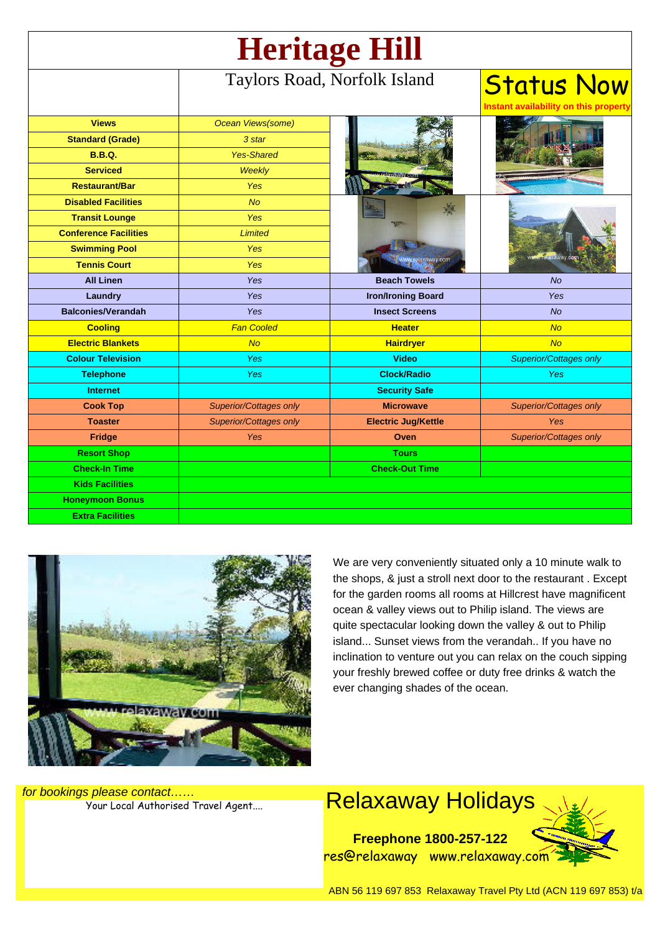| <b>Heritage Hill</b>         |                               |                            |                                             |
|------------------------------|-------------------------------|----------------------------|---------------------------------------------|
|                              | Taylors Road, Norfolk Island  |                            | <b>Status Now</b><br>ability on this proper |
| <b>Views</b>                 | Ocean Views(some)             |                            |                                             |
| <b>Standard (Grade)</b>      | 3 star                        |                            |                                             |
| <b>B.B.Q.</b>                | <b>Yes-Shared</b>             |                            |                                             |
| <b>Serviced</b>              | <b>Weekly</b>                 |                            |                                             |
| <b>Restaurant/Bar</b>        | <b>Yes</b>                    |                            |                                             |
| <b>Disabled Facilities</b>   | No                            |                            |                                             |
| <b>Transit Lounge</b>        | <b>Yes</b>                    |                            |                                             |
| <b>Conference Facilities</b> | <b>Limited</b>                |                            |                                             |
| <b>Swimming Pool</b>         | <b>Yes</b>                    |                            | www.relaxaway.co                            |
| <b>Tennis Court</b>          | <b>Yes</b>                    | www.relaxaway.com          |                                             |
| <b>All Linen</b>             | Yes                           | <b>Beach Towels</b>        | <b>No</b>                                   |
| Laundry                      | Yes                           | <b>Iron/Ironing Board</b>  | Yes                                         |
| <b>Balconies/Verandah</b>    | Yes                           | <b>Insect Screens</b>      | <b>No</b>                                   |
| <b>Cooling</b>               | <b>Fan Cooled</b>             | <b>Heater</b>              | <b>No</b>                                   |
| <b>Electric Blankets</b>     | <b>No</b>                     | <b>Hairdryer</b>           | No                                          |
| <b>Colour Television</b>     | <b>Yes</b>                    | <b>Video</b>               | <b>Superior/Cottages only</b>               |
| <b>Telephone</b>             | <b>Yes</b>                    | <b>Clock/Radio</b>         | <b>Yes</b>                                  |
| <b>Internet</b>              |                               | <b>Security Safe</b>       |                                             |
| <b>Cook Top</b>              | <b>Superior/Cottages only</b> | <b>Microwave</b>           | Superior/Cottages only                      |
| <b>Toaster</b>               | <b>Superior/Cottages only</b> | <b>Electric Jug/Kettle</b> | <b>Yes</b>                                  |
| Fridge                       | <b>Yes</b>                    | Oven                       | <b>Superior/Cottages only</b>               |
| <b>Resort Shop</b>           |                               | <b>Tours</b>               |                                             |
| <b>Check-In Time</b>         |                               | <b>Check-Out Time</b>      |                                             |
| <b>Kids Facilities</b>       |                               |                            |                                             |
| <b>Honeymoon Bonus</b>       |                               |                            |                                             |
| <b>Extra Facilities</b>      |                               |                            |                                             |



We are very conveniently situated only a 10 minute walk to the shops, & just a stroll next door to the restaurant . Except for the garden rooms all rooms at Hillcrest have magnificent ocean & valley views out to Philip island. The views are quite spectacular looking down the valley & out to Philip island... Sunset views from the verandah.. If you have no inclination to venture out you can relax on the couch sipping your freshly brewed coffee or duty free drinks & watch the ever changing shades of the ocean.

for bookings please contact……